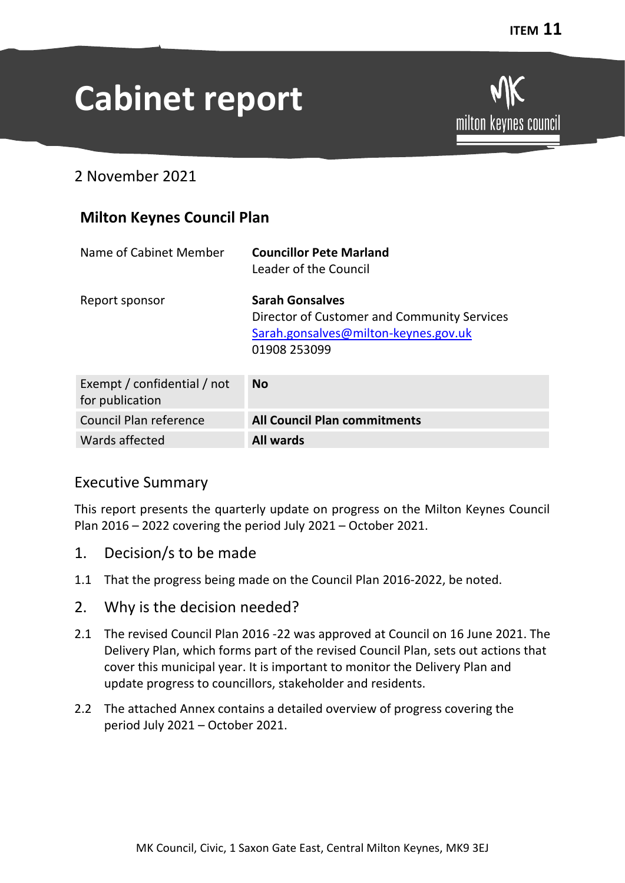# **Cabinet report**

milton keynes council

2 November 2021

## **Milton Keynes Council Plan**

| Name of Cabinet Member                         | <b>Councillor Pete Marland</b><br>Leader of the Council                                                                       |
|------------------------------------------------|-------------------------------------------------------------------------------------------------------------------------------|
| Report sponsor                                 | <b>Sarah Gonsalves</b><br>Director of Customer and Community Services<br>Sarah.gonsalves@milton-keynes.gov.uk<br>01908 253099 |
| Exempt / confidential / not<br>for publication | <b>No</b>                                                                                                                     |
| Council Plan reference                         | <b>All Council Plan commitments</b>                                                                                           |

#### Executive Summary

This report presents the quarterly update on progress on the Milton Keynes Council Plan 2016 – 2022 covering the period July 2021 – October 2021.

- 1. Decision/s to be made
- 1.1 That the progress being made on the Council Plan 2016-2022, be noted.
- 2. Why is the decision needed?

Wards affected **All wards** 

- 2.1 The revised Council Plan 2016 -22 was approved at Council on 16 June 2021. The Delivery Plan, which forms part of the revised Council Plan, sets out actions that cover this municipal year. It is important to monitor the Delivery Plan and update progress to councillors, stakeholder and residents.
- 2.2 The attached Annex contains a detailed overview of progress covering the period July 2021 – October 2021.